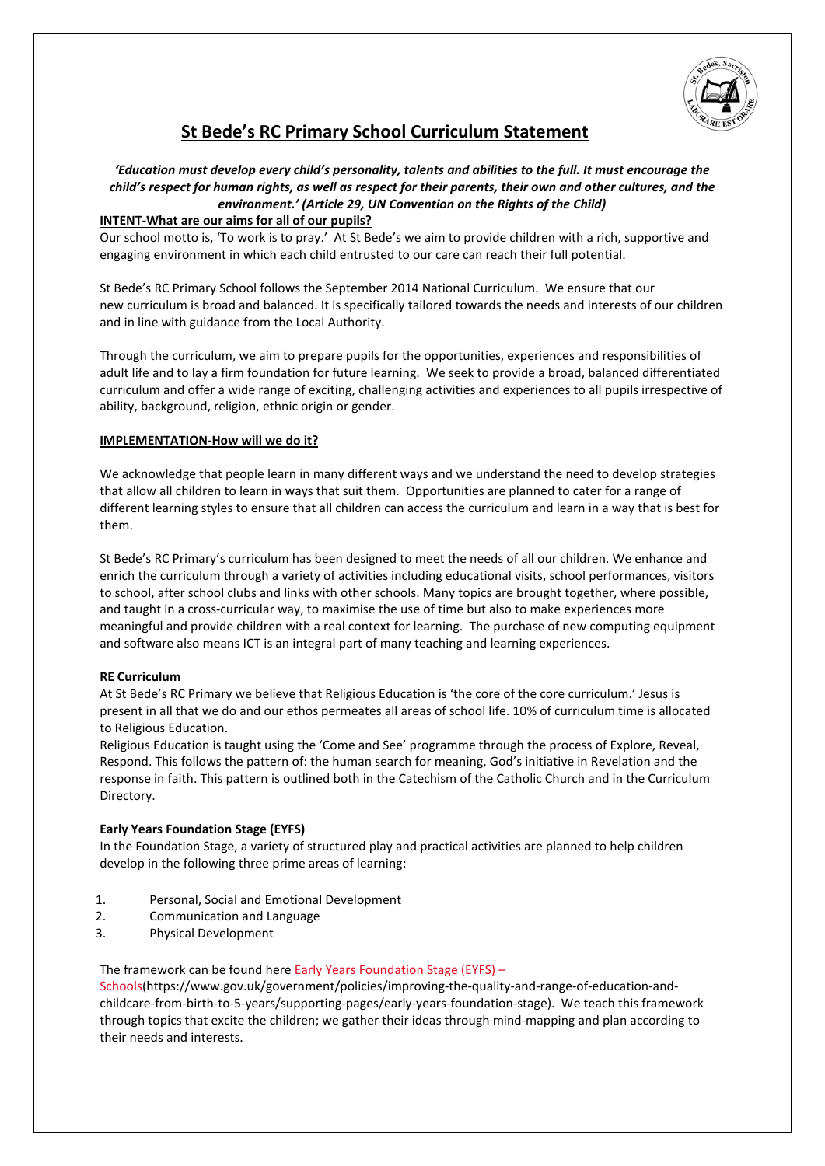

# **St Bede's RC Primary School Curriculum Statement**

# *'Education must develop every child's personality, talents and abilities to the full. It must encourage the child's respect for human rights, as well as respect for their parents, their own and other cultures, and the environment.' (Article 29, UN Convention on the Rights of the Child)*

# **INTENT-What are our aims for all of our pupils?**

Our school motto is, 'To work is to pray.' At St Bede's we aim to provide children with a rich, supportive and engaging environment in which each child entrusted to our care can reach their full potential.

St Bede's RC Primary School follows the September 2014 National Curriculum. We ensure that our new curriculum is broad and balanced. It is specifically tailored towards the needs and interests of our children and in line with guidance from the Local Authority.

Through the curriculum, we aim to prepare pupils for the opportunities, experiences and responsibilities of adult life and to lay a firm foundation for future learning. We seek to provide a broad, balanced differentiated curriculum and offer a wide range of exciting, challenging activities and experiences to all pupils irrespective of ability, background, religion, ethnic origin or gender.

# **IMPLEMENTATION-How will we do it?**

We acknowledge that people learn in many different ways and we understand the need to develop strategies that allow all children to learn in ways that suit them. Opportunities are planned to cater for a range of different learning styles to ensure that all children can access the curriculum and learn in a way that is best for them.

St Bede's RC Primary's curriculum has been designed to meet the needs of all our children. We enhance and enrich the curriculum through a variety of activities including educational visits, school performances, visitors to school, after school clubs and links with other schools. Many topics are brought together, where possible, and taught in a cross-curricular way, to maximise the use of time but also to make experiences more meaningful and provide children with a real context for learning. The purchase of new computing equipment and software also means ICT is an integral part of many teaching and learning experiences.

## **RE Curriculum**

At St Bede's RC Primary we believe that Religious Education is 'the core of the core curriculum.' Jesus is present in all that we do and our ethos permeates all areas of school life. 10% of curriculum time is allocated to Religious Education.

Religious Education is taught using the 'Come and See' programme through the process of Explore, Reveal, Respond. This follows the pattern of: the human search for meaning, God's initiative in Revelation and the response in faith. This pattern is outlined both in the Catechism of the Catholic Church and in the Curriculum Directory.

## **Early Years Foundation Stage (EYFS)**

In the Foundation Stage, a variety of structured play and practical activities are planned to help children develop in the following three prime areas of learning:

- 1. Personal, Social and Emotional Development
- 2. Communication and Language
- 3. Physical Development

## The framework can be found here [Early Years Foundation Stage \(EYFS\) –](http://www.education.gov.uk/schools/teachingandlearning/curriculum/a0068102/early-years-foundation-stage-eyfs)

[Schools\(](http://www.education.gov.uk/schools/teachingandlearning/curriculum/a0068102/early-years-foundation-stage-eyfs)https://www.gov.uk/government/policies/improving-the-quality-and-range-of-education-andchildcare-from-birth-to-5-years/supporting-pages/early-years-foundation-stage). We teach this framework through topics that excite the children; we gather their ideas through mind-mapping and plan according to their needs and interests.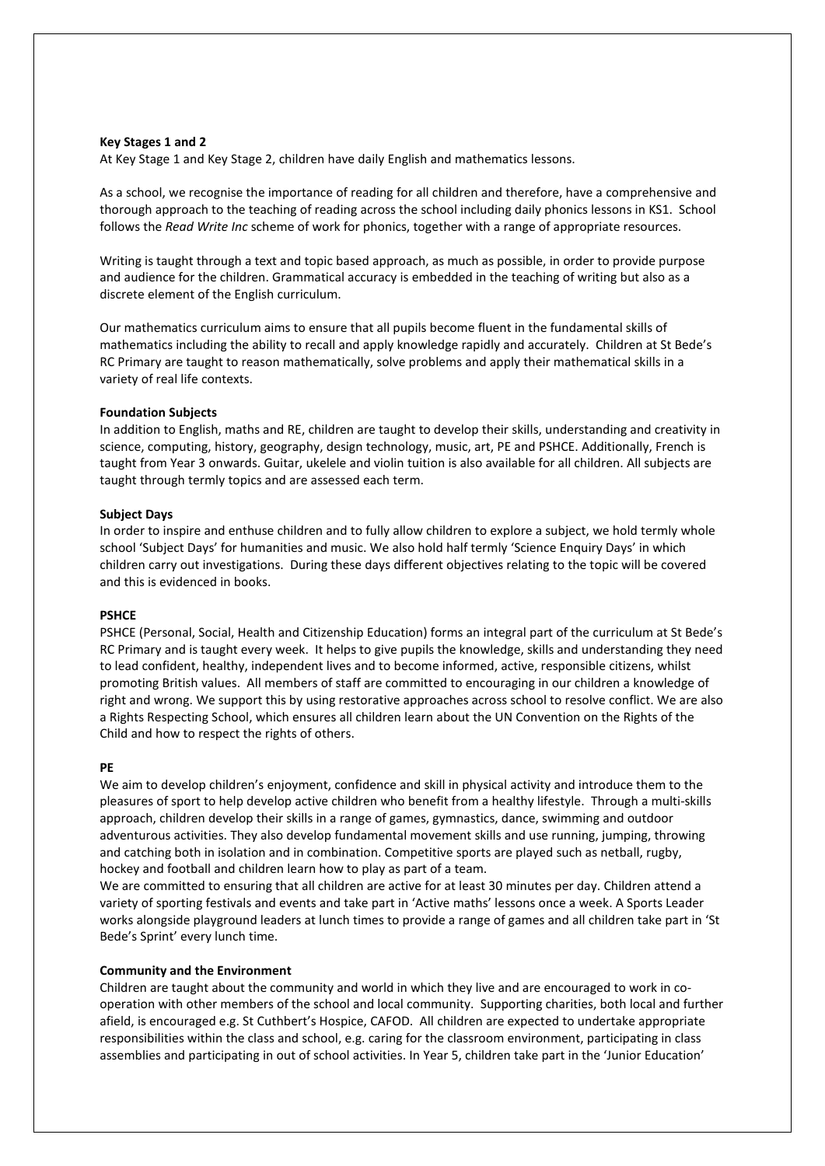## **Key Stages 1 and 2**

At Key Stage 1 and Key Stage 2, children have daily English and mathematics lessons.

As a school, we recognise the importance of reading for all children and therefore, have a comprehensive and thorough approach to the teaching of reading across the school including daily phonics lessons in KS1. School follows the *Read Write Inc* scheme of work for phonics, together with a range of appropriate resources.

Writing is taught through a text and topic based approach, as much as possible, in order to provide purpose and audience for the children. Grammatical accuracy is embedded in the teaching of writing but also as a discrete element of the English curriculum.

Our mathematics curriculum aims to ensure that all pupils become fluent in the fundamental skills of mathematics including the ability to recall and apply knowledge rapidly and accurately. Children at St Bede's RC Primary are taught to reason mathematically, solve problems and apply their mathematical skills in a variety of real life contexts.

## **Foundation Subjects**

In addition to English, maths and RE, children are taught to develop their skills, understanding and creativity in science, computing, history, geography, design technology, music, art, PE and PSHCE. Additionally, French is taught from Year 3 onwards. Guitar, ukelele and violin tuition is also available for all children. All subjects are taught through termly topics and are assessed each term.

## **Subject Days**

In order to inspire and enthuse children and to fully allow children to explore a subject, we hold termly whole school 'Subject Days' for humanities and music. We also hold half termly 'Science Enquiry Days' in which children carry out investigations. During these days different objectives relating to the topic will be covered and this is evidenced in books.

## **PSHCE**

PSHCE (Personal, Social, Health and Citizenship Education) forms an integral part of the curriculum at St Bede's RC Primary and is taught every week. It helps to give pupils the knowledge, skills and understanding they need to lead confident, healthy, independent lives and to become informed, active, responsible citizens, whilst promoting British values. All members of staff are committed to encouraging in our children a knowledge of right and wrong. We support this by using restorative approaches across school to resolve conflict. We are also a Rights Respecting School, which ensures all children learn about the UN Convention on the Rights of the Child and how to respect the rights of others.

## **PE**

We aim to develop children's enjoyment, confidence and skill in physical activity and introduce them to the pleasures of sport to help develop active children who benefit from a healthy lifestyle. Through a multi-skills approach, children develop their skills in a range of games, gymnastics, dance, swimming and outdoor adventurous activities. They also develop fundamental movement skills and use running, jumping, throwing and catching both in isolation and in combination. Competitive sports are played such as netball, rugby, hockey and football and children learn how to play as part of a team.

We are committed to ensuring that all children are active for at least 30 minutes per day. Children attend a variety of sporting festivals and events and take part in 'Active maths' lessons once a week. A Sports Leader works alongside playground leaders at lunch times to provide a range of games and all children take part in 'St Bede's Sprint' every lunch time.

#### **Community and the Environment**

Children are taught about the community and world in which they live and are encouraged to work in cooperation with other members of the school and local community. Supporting charities, both local and further afield, is encouraged e.g. St Cuthbert's Hospice, CAFOD. All children are expected to undertake appropriate responsibilities within the class and school, e.g. caring for the classroom environment, participating in class assemblies and participating in out of school activities. In Year 5, children take part in the 'Junior Education'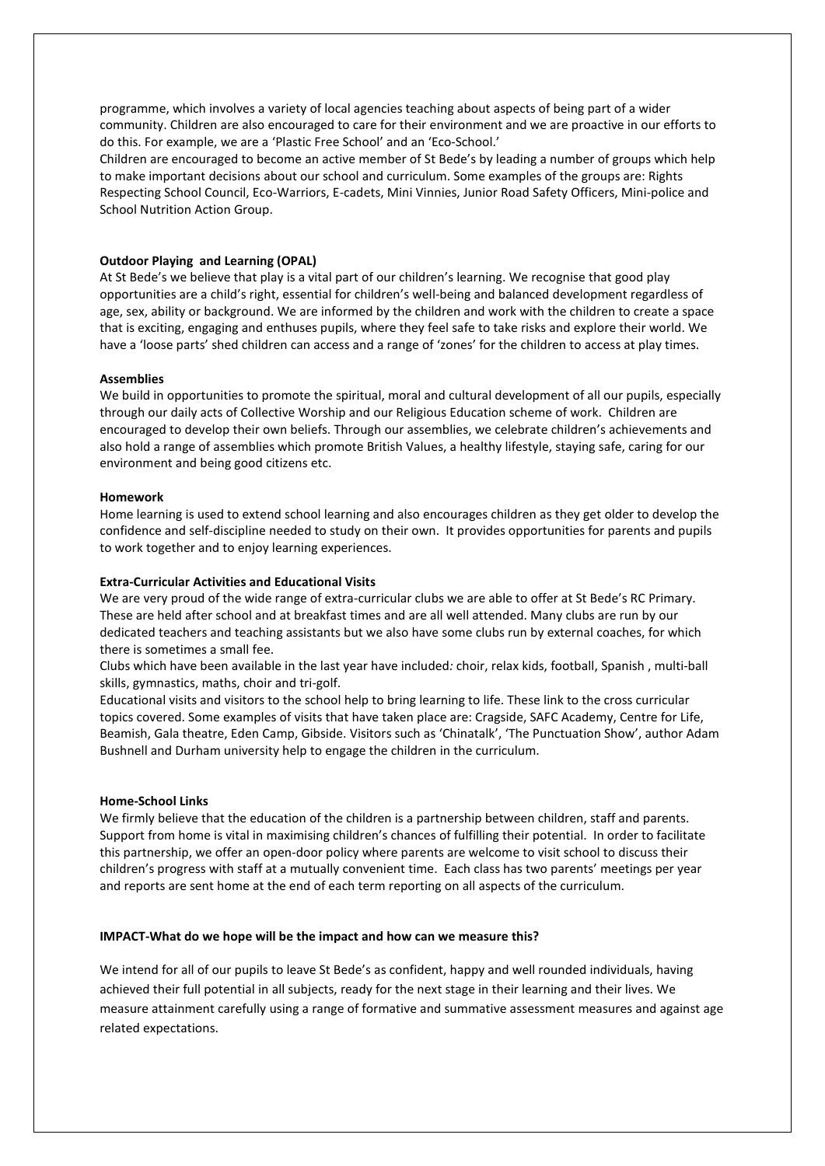programme, which involves a variety of local agencies teaching about aspects of being part of a wider community. Children are also encouraged to care for their environment and we are proactive in our efforts to do this. For example, we are a 'Plastic Free School' and an 'Eco-School.'

Children are encouraged to become an active member of St Bede's by leading a number of groups which help to make important decisions about our school and curriculum. Some examples of the groups are: Rights Respecting School Council, Eco-Warriors, E-cadets, Mini Vinnies, Junior Road Safety Officers, Mini-police and School Nutrition Action Group.

## **Outdoor Playing and Learning (OPAL)**

At St Bede's we believe that play is a vital part of our children's learning. We recognise that good play opportunities are a child's right, essential for children's well-being and balanced development regardless of age, sex, ability or background. We are informed by the children and work with the children to create a space that is exciting, engaging and enthuses pupils, where they feel safe to take risks and explore their world. We have a 'loose parts' shed children can access and a range of 'zones' for the children to access at play times.

## **Assemblies**

We build in opportunities to promote the spiritual, moral and cultural development of all our pupils, especially through our daily acts of Collective Worship and our Religious Education scheme of work. Children are encouraged to develop their own beliefs. Through our assemblies, we celebrate children's achievements and also hold a range of assemblies which promote British Values, a healthy lifestyle, staying safe, caring for our environment and being good citizens etc.

## **Homework**

Home learning is used to extend school learning and also encourages children as they get older to develop the confidence and self-discipline needed to study on their own. It provides opportunities for parents and pupils to work together and to enjoy learning experiences.

#### **Extra-Curricular Activities and Educational Visits**

We are very proud of the wide range of extra-curricular clubs we are able to offer at St Bede's RC Primary. These are held after school and at breakfast times and are all well attended. Many clubs are run by our dedicated teachers and teaching assistants but we also have some clubs run by external coaches, for which there is sometimes a small fee.

Clubs which have been available in the last year have included*:* choir, relax kids, football, Spanish , multi-ball skills, gymnastics, maths, choir and tri-golf.

Educational visits and visitors to the school help to bring learning to life. These link to the cross curricular topics covered. Some examples of visits that have taken place are: Cragside, SAFC Academy, Centre for Life, Beamish, Gala theatre, Eden Camp, Gibside. Visitors such as 'Chinatalk', 'The Punctuation Show', author Adam Bushnell and Durham university help to engage the children in the curriculum.

## **Home-School Links**

We firmly believe that the education of the children is a partnership between children, staff and parents. Support from home is vital in maximising children's chances of fulfilling their potential. In order to facilitate this partnership, we offer an open-door policy where parents are welcome to visit school to discuss their children's progress with staff at a mutually convenient time. Each class has two parents' meetings per year and reports are sent home at the end of each term reporting on all aspects of the curriculum.

## **IMPACT-What do we hope will be the impact and how can we measure this?**

We intend for all of our pupils to leave St Bede's as confident, happy and well rounded individuals, having achieved their full potential in all subjects, ready for the next stage in their learning and their lives. We measure attainment carefully using a range of formative and summative assessment measures and against age related expectations.